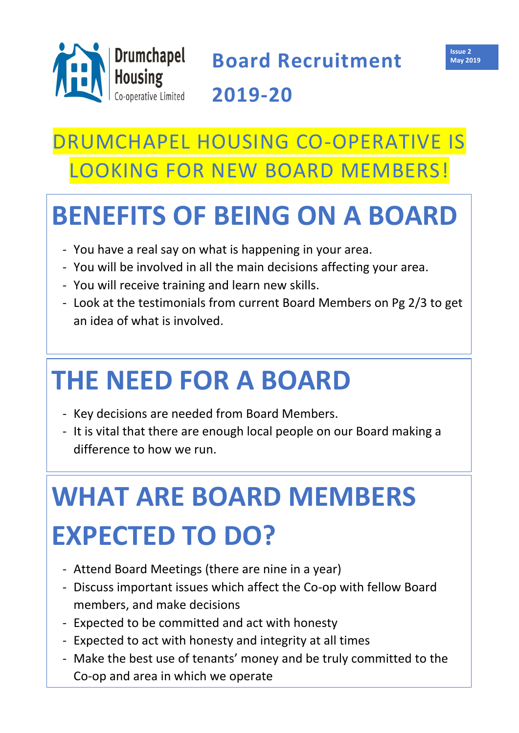## DRUMCHAPEL HOUSING CO-OPERATIVE IS LOOKING FOR NEW BOARD MEMBERS!

## **BENEFITS OF BEING ON A BOARD**

- You have a real say on what is happening in your area.
- You will be involved in all the main decisions affecting your area.
- You will receive training and learn new skills.
- Look at the testimonials from current Board Members on Pg 2/3 to get an idea of what is involved.

## **THE NEED FOR A BOARD**

- Key decisions are needed from Board Members.
- It is vital that there are enough local people on our Board making a difference to how we run.



**Board Recruitment 2019-20**

# **WHAT ARE BOARD MEMBERS EXPECTED TO DO?**

- Attend Board Meetings (there are nine in a year)
- Discuss important issues which affect the Co-op with fellow Board members, and make decisions
- Expected to be committed and act with honesty
- Expected to act with honesty and integrity at all times
- Make the best use of tenants' money and be truly committed to the Co-op and area in which we operate

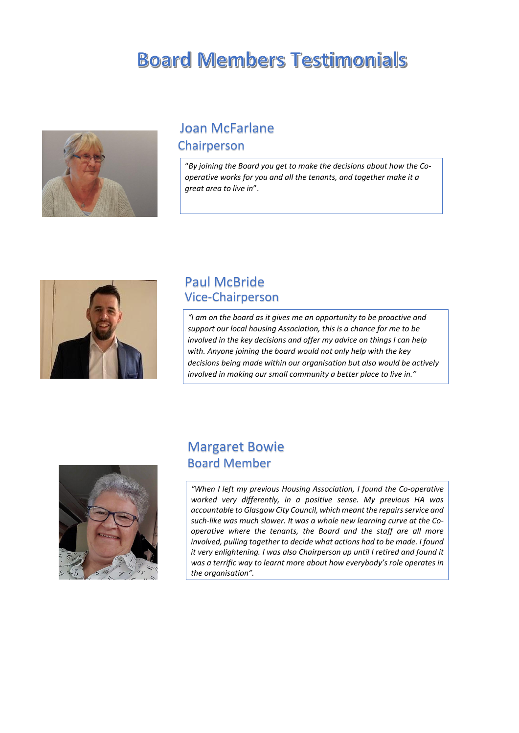### **Board Members Testimonials**



### Joan McFarlane

#### Paul McBride Vice-Chairperson

#### Chairperson

#### Margaret Bowie Board Member

"*By joining the Board you get to make the decisions about how the Cooperative works for you and all the tenants, and together make it a great area to live in*".



*"I am on the board as it gives me an opportunity to be proactive and support our local housing Association, this is a chance for me to be involved in the key decisions and offer my advice on things I can help with. Anyone joining the board would not only help with the key decisions being made within our organisation but also would be actively involved in making our small community a better place to live in."*



*"When I left my previous Housing Association, I found the Co-operative worked very differently, in a positive sense. My previous HA was accountable to Glasgow City Council, which meant the repairs service and such-like was much slower. It was a whole new learning curve at the Cooperative where the tenants, the Board and the staff are all more involved, pulling together to decide what actions had to be made. I found it very enlightening. I was also Chairperson up until I retired and found it was a terrific way to learnt more about how everybody's role operates in the organisation".* 

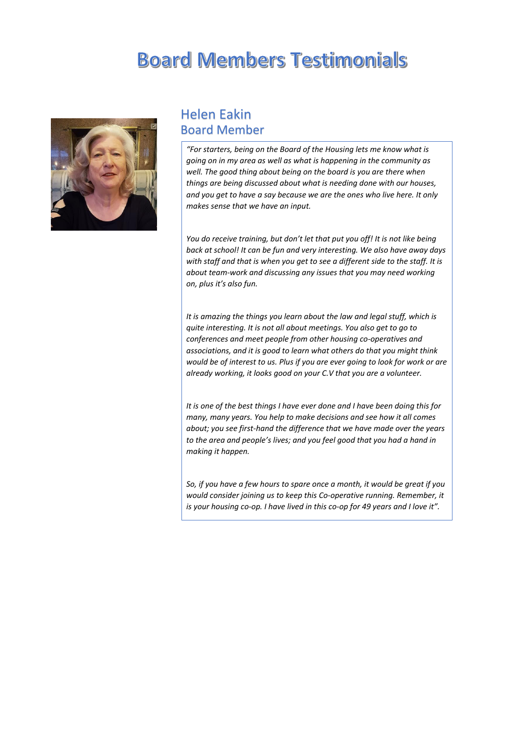### **Board Members Testimonials**



#### Helen Eakin Board Member

*"For starters, being on the Board of the Housing lets me know what is going on in my area as well as what is happening in the community as well. The good thing about being on the board is you are there when things are being discussed about what is needing done with our houses, and you get to have a say because we are the ones who live here. It only makes sense that we have an input.*

*You do receive training, but don't let that put you off! It is not like being back at school! It can be fun and very interesting. We also have away days with staff and that is when you get to see a different side to the staff. It is about team-work and discussing any issues that you may need working on, plus it's also fun.* 

*It is amazing the things you learn about the law and legal stuff, which is quite interesting. It is not all about meetings. You also get to go to conferences and meet people from other housing co-operatives and associations, and it is good to learn what others do that you might think would be of interest to us. Plus if you are ever going to look for work or are already working, it looks good on your C.V that you are a volunteer.*

*It is one of the best things I have ever done and I have been doing this for many, many years. You help to make decisions and see how it all comes about; you see first-hand the difference that we have made over the years to the area and people's lives; and you feel good that you had a hand in making it happen.* 

*So, if you have a few hours to spare once a month, it would be great if you would consider joining us to keep this Co-operative running. Remember, it is your housing co-op. I have lived in this co-op for 49 years and I love it".*